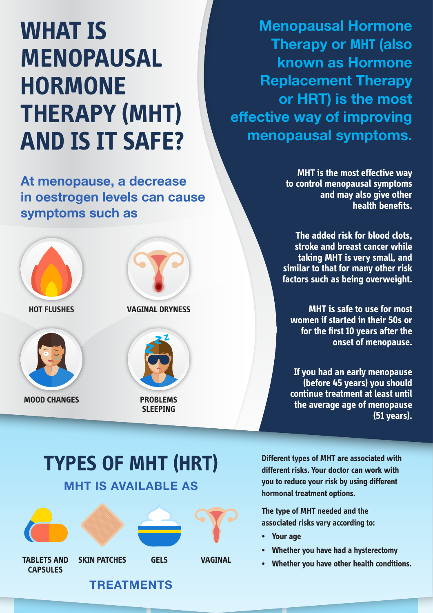# **WHAT IS MENOPAUSAL HORMONE THERAPY (MHT) AND IS IT SAFE?**

At menopause, a decrease in oestrogen levels can cause symptoms such as



**MOOD CHANGES PROBLEMS** 



**SLEEPING**

Menopausal Hormone Therapy or **MHT** (also known as Hormone Replacement Therapy or HRT) is the most effective way of improving menopausal symptoms.

> **MHT is the most effective way to control menopausal symptoms and may also give other health benefits.**

**The added risk for blood clots, stroke and breast cancer while taking MHT is very small, and similar to that for many other risk factors such as being overweight.**

**MHT is safe to use for most women if started in their 50s or for the first 10 years after the onset of menopause.**

**If you had an early menopause (before 45 years) you should continue treatment at least until the average age of menopause (51 years).** 

# MHT IS AVAILABLE AS **TYPES OF MHT (HRT)**



**Different types of MHT are associated with different risks. Your doctor can work with you to reduce your risk by using different hormonal treatment options.**

**The type of MHT needed and the associated risks vary according to:**

- **Your age**
- **Whether you have had a hysterectomy**
- **Whether you have other health conditions.**